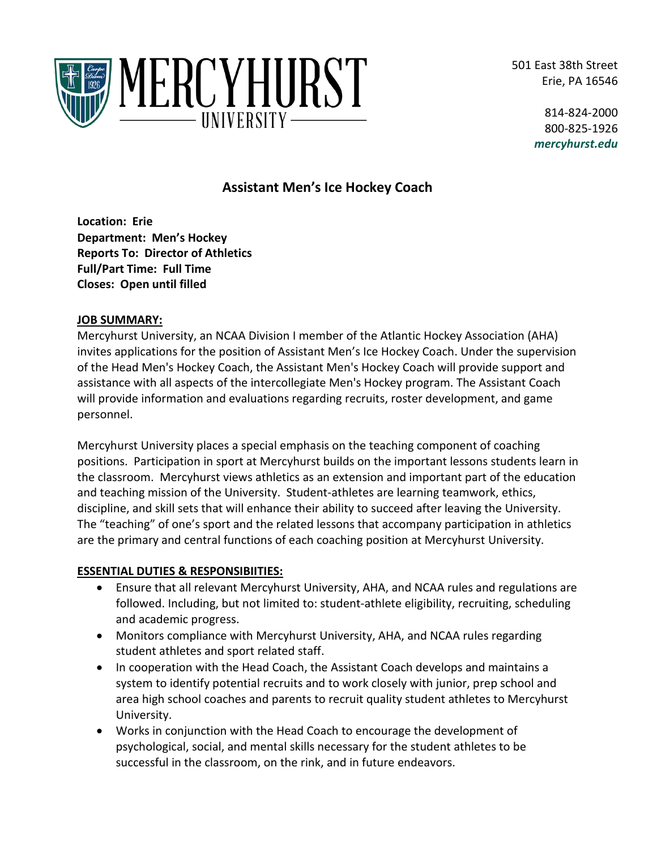501 East 38th Street Erie, PA 16546



814-824-2000 800-825-1926 *mercyhurst.edu*

# **Assistant Men's Ice Hockey Coach**

**Location: Erie Department: Men's Hockey Reports To: Director of Athletics Full/Part Time: Full Time Closes: Open until filled**

#### **JOB SUMMARY:**

Mercyhurst University, an NCAA Division I member of the Atlantic Hockey Association (AHA) invites applications for the position of Assistant Men's Ice Hockey Coach. Under the supervision of the Head Men's Hockey Coach, the Assistant Men's Hockey Coach will provide support and assistance with all aspects of the intercollegiate Men's Hockey program. The Assistant Coach will provide information and evaluations regarding recruits, roster development, and game personnel.

Mercyhurst University places a special emphasis on the teaching component of coaching positions. Participation in sport at Mercyhurst builds on the important lessons students learn in the classroom. Mercyhurst views athletics as an extension and important part of the education and teaching mission of the University. Student-athletes are learning teamwork, ethics, discipline, and skill sets that will enhance their ability to succeed after leaving the University. The "teaching" of one's sport and the related lessons that accompany participation in athletics are the primary and central functions of each coaching position at Mercyhurst University.

# **ESSENTIAL DUTIES & RESPONSIBIITIES:**

- Ensure that all relevant Mercyhurst University, AHA, and NCAA rules and regulations are followed. Including, but not limited to: student-athlete eligibility, recruiting, scheduling and academic progress.
- Monitors compliance with Mercyhurst University, AHA, and NCAA rules regarding student athletes and sport related staff.
- In cooperation with the Head Coach, the Assistant Coach develops and maintains a system to identify potential recruits and to work closely with junior, prep school and area high school coaches and parents to recruit quality student athletes to Mercyhurst University.
- Works in conjunction with the Head Coach to encourage the development of psychological, social, and mental skills necessary for the student athletes to be successful in the classroom, on the rink, and in future endeavors.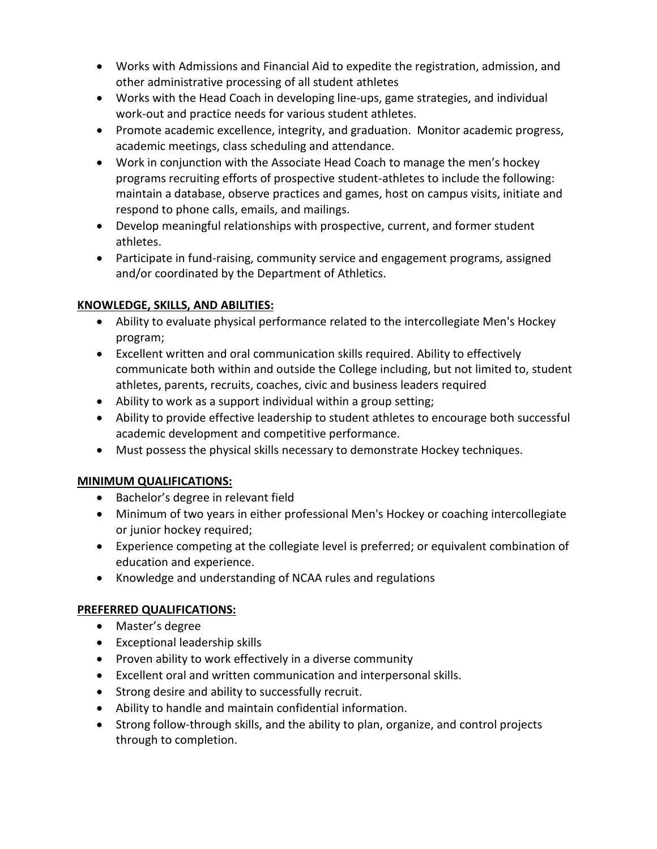- Works with Admissions and Financial Aid to expedite the registration, admission, and other administrative processing of all student athletes
- Works with the Head Coach in developing line-ups, game strategies, and individual work-out and practice needs for various student athletes.
- Promote academic excellence, integrity, and graduation. Monitor academic progress, academic meetings, class scheduling and attendance.
- Work in conjunction with the Associate Head Coach to manage the men's hockey programs recruiting efforts of prospective student-athletes to include the following: maintain a database, observe practices and games, host on campus visits, initiate and respond to phone calls, emails, and mailings.
- Develop meaningful relationships with prospective, current, and former student athletes.
- Participate in fund-raising, community service and engagement programs, assigned and/or coordinated by the Department of Athletics.

# **KNOWLEDGE, SKILLS, AND ABILITIES:**

- Ability to evaluate physical performance related to the intercollegiate Men's Hockey program;
- Excellent written and oral communication skills required. Ability to effectively communicate both within and outside the College including, but not limited to, student athletes, parents, recruits, coaches, civic and business leaders required
- Ability to work as a support individual within a group setting;
- Ability to provide effective leadership to student athletes to encourage both successful academic development and competitive performance.
- Must possess the physical skills necessary to demonstrate Hockey techniques.

# **MINIMUM QUALIFICATIONS:**

- Bachelor's degree in relevant field
- Minimum of two years in either professional Men's Hockey or coaching intercollegiate or junior hockey required;
- Experience competing at the collegiate level is preferred; or equivalent combination of education and experience.
- Knowledge and understanding of NCAA rules and regulations

# **PREFERRED QUALIFICATIONS:**

- Master's degree
- Exceptional leadership skills
- Proven ability to work effectively in a diverse community
- Excellent oral and written communication and interpersonal skills.
- Strong desire and ability to successfully recruit.
- Ability to handle and maintain confidential information.
- Strong follow-through skills, and the ability to plan, organize, and control projects through to completion.